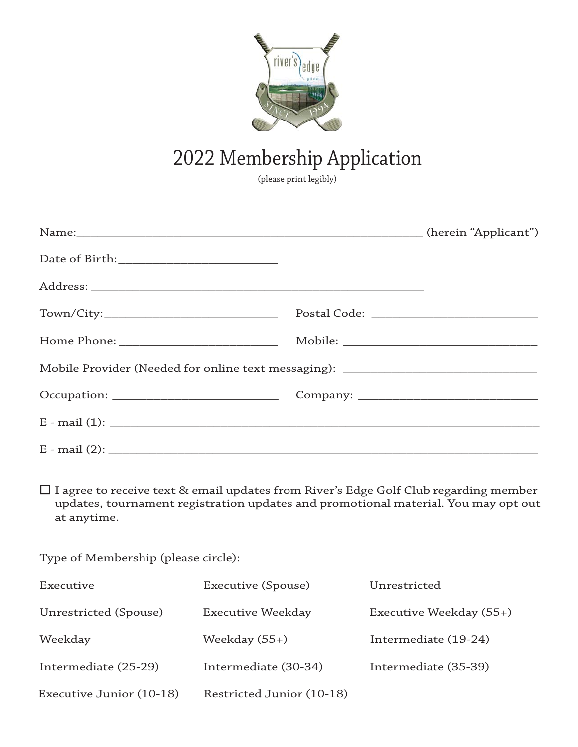

## 2022 Membership Application

(please print legibly)

| Name: (herein "Applicant")                                                       |  |
|----------------------------------------------------------------------------------|--|
|                                                                                  |  |
|                                                                                  |  |
|                                                                                  |  |
|                                                                                  |  |
| Mobile Provider (Needed for online text messaging): ____________________________ |  |
|                                                                                  |  |
|                                                                                  |  |
| $E - mail (2)$ :                                                                 |  |
|                                                                                  |  |

 I agree to receive text & email updates from River's Edge Golf Club regarding member updates, tournament registration updates and promotional material. You may opt out at anytime.

Type of Membership (please circle):

| Executive                | Executive (Spouse)        | Unrestricted            |
|--------------------------|---------------------------|-------------------------|
| Unrestricted (Spouse)    | Executive Weekday         | Executive Weekday (55+) |
| Weekday                  | Weekday $(55+)$           | Intermediate (19-24)    |
| Intermediate (25-29)     | Intermediate (30-34)      | Intermediate (35-39)    |
| Executive Junior (10-18) | Restricted Junior (10-18) |                         |